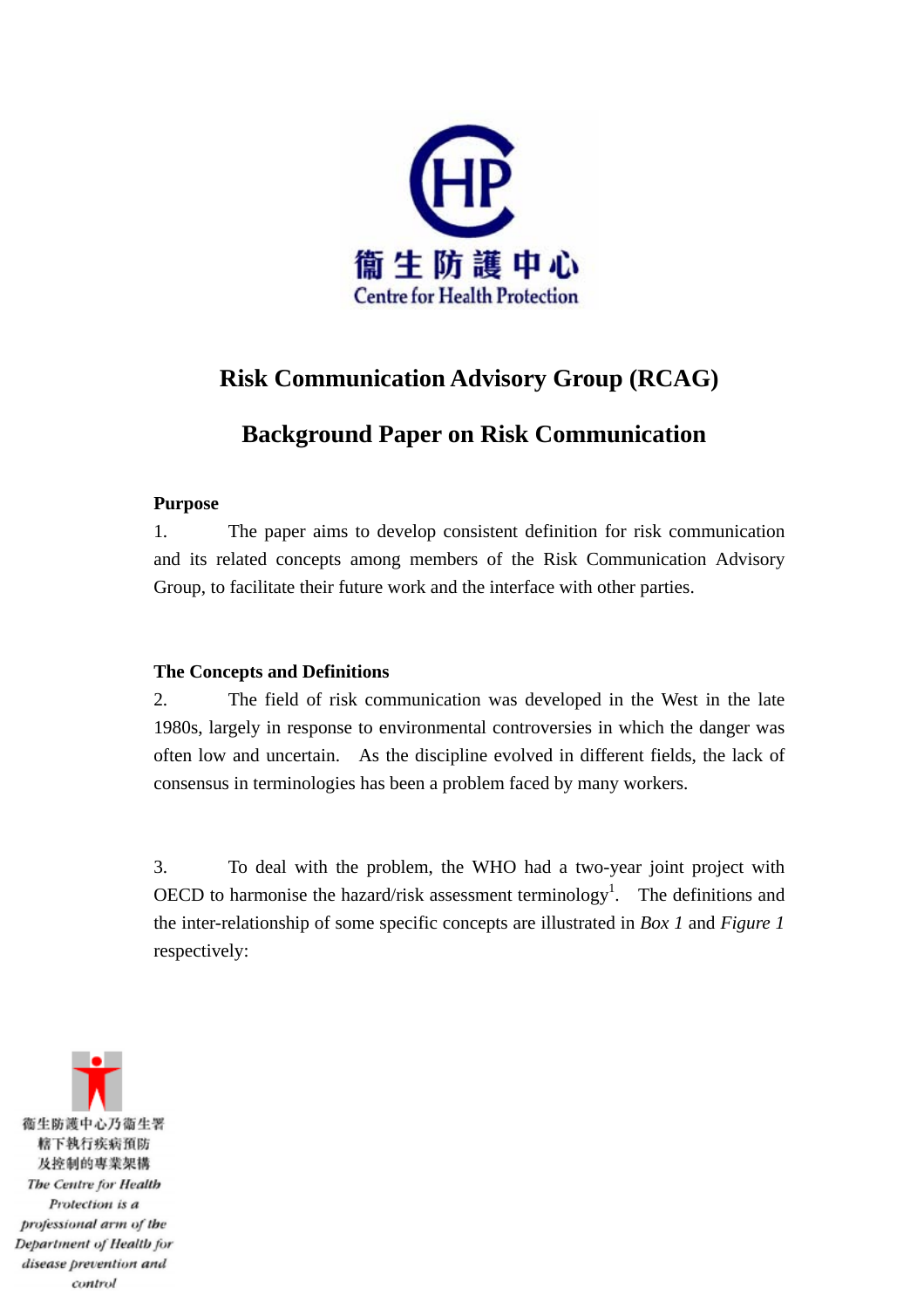

## **Risk Communication Advisory Group (RCAG)**

# **Background Paper on Risk Communication**

#### **Purpose**

1. The paper aims to develop consistent definition for risk communication and its related concepts among members of the Risk Communication Advisory Group, to facilitate their future work and the interface with other parties.

## **The Concepts and Definitions**

2. The field of risk communication was developed in the West in the late 1980s, largely in response to environmental controversies in which the danger was often low and uncertain. As the discipline evolved in different fields, the lack of consensus in terminologies has been a problem faced by many workers.

3. To deal with the problem, the WHO had a two-year joint project with OECD to harmonise the hazard/risk assessment terminology<sup>1</sup>. The definitions and the inter-relationship of some specific concepts are illustrated in *Box 1* and *Figure 1*  respectively:

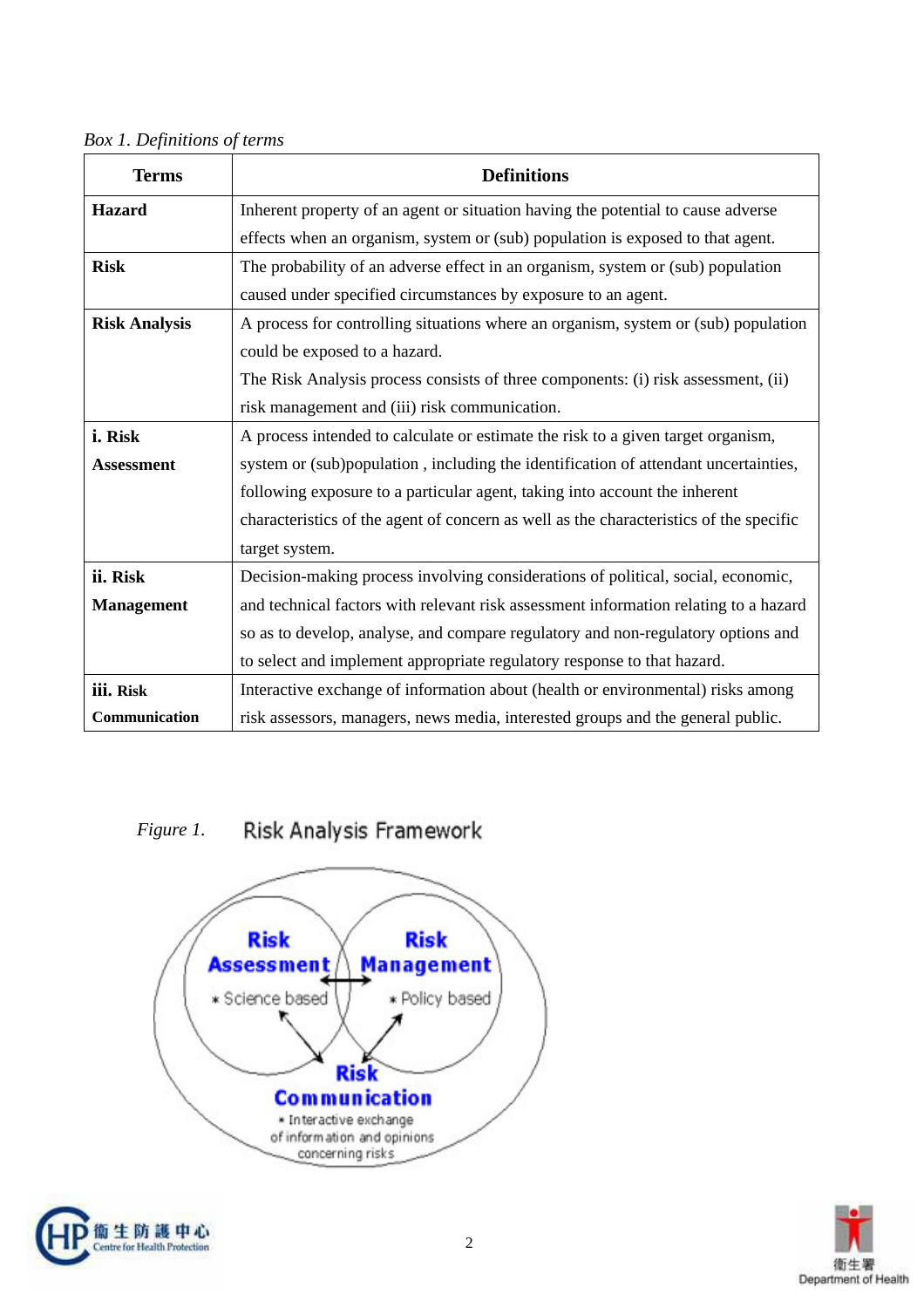*Box 1. Definitions of terms* 

| <b>Terms</b>         | <b>Definitions</b>                                                                     |
|----------------------|----------------------------------------------------------------------------------------|
| <b>Hazard</b>        | Inherent property of an agent or situation having the potential to cause adverse       |
|                      | effects when an organism, system or (sub) population is exposed to that agent.         |
| <b>Risk</b>          | The probability of an adverse effect in an organism, system or (sub) population        |
|                      | caused under specified circumstances by exposure to an agent.                          |
| <b>Risk Analysis</b> | A process for controlling situations where an organism, system or (sub) population     |
|                      | could be exposed to a hazard.                                                          |
|                      | The Risk Analysis process consists of three components: (i) risk assessment, (ii)      |
|                      | risk management and (iii) risk communication.                                          |
| i. Risk              | A process intended to calculate or estimate the risk to a given target organism,       |
| <b>Assessment</b>    | system or (sub)population, including the identification of attendant uncertainties,    |
|                      | following exposure to a particular agent, taking into account the inherent             |
|                      | characteristics of the agent of concern as well as the characteristics of the specific |
|                      | target system.                                                                         |
| ii. Risk             | Decision-making process involving considerations of political, social, economic,       |
| <b>Management</b>    | and technical factors with relevant risk assessment information relating to a hazard   |
|                      | so as to develop, analyse, and compare regulatory and non-regulatory options and       |
|                      | to select and implement appropriate regulatory response to that hazard.                |
| iii. Risk            | Interactive exchange of information about (health or environmental) risks among        |
| Communication        | risk assessors, managers, news media, interested groups and the general public.        |

Risk Analysis Framework *Figure 1.* 





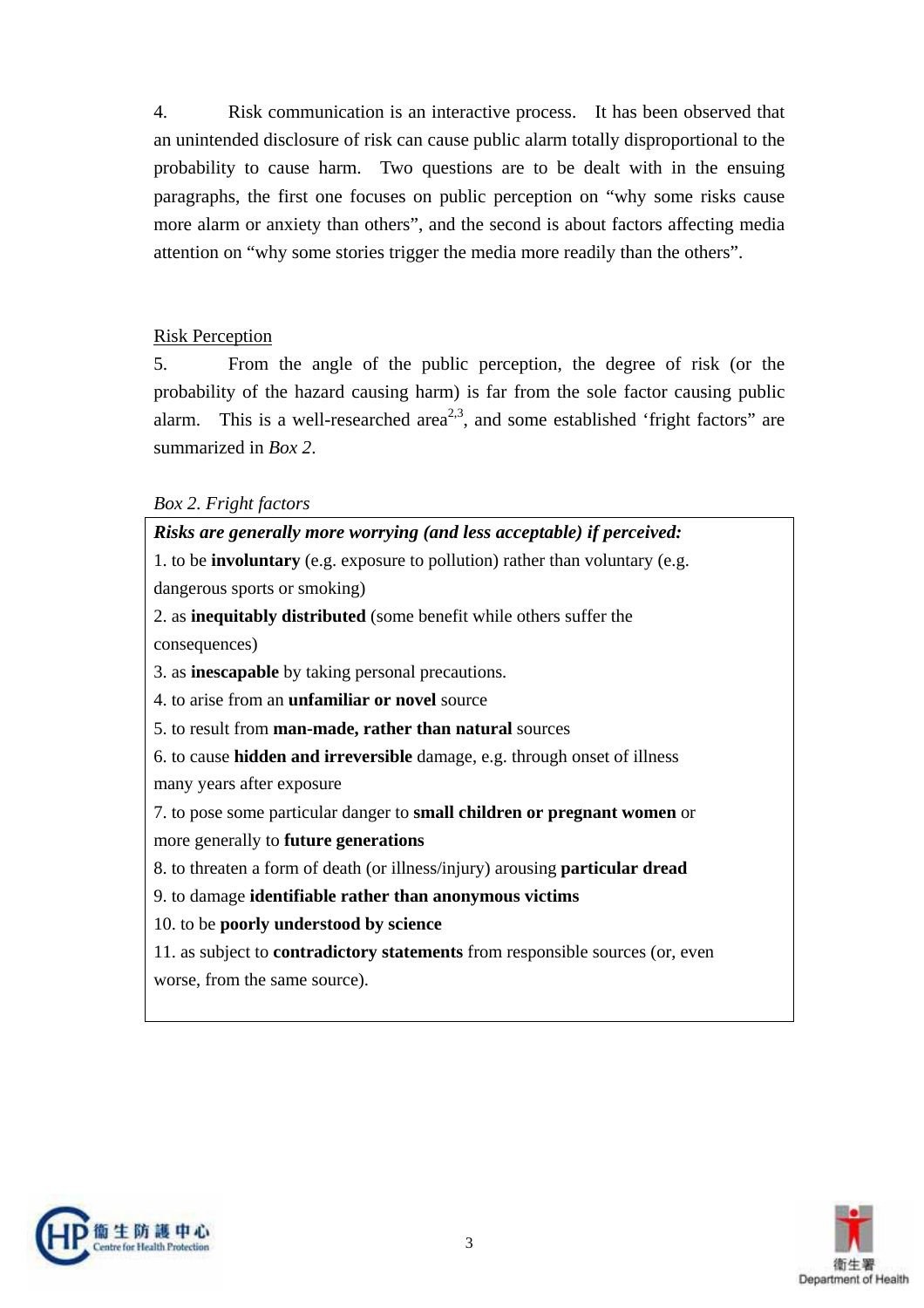4. Risk communication is an interactive process. It has been observed that an unintended disclosure of risk can cause public alarm totally disproportional to the probability to cause harm. Two questions are to be dealt with in the ensuing paragraphs, the first one focuses on public perception on "why some risks cause more alarm or anxiety than others", and the second is about factors affecting media attention on "why some stories trigger the media more readily than the others".

#### Risk Perception

5. From the angle of the public perception, the degree of risk (or the probability of the hazard causing harm) is far from the sole factor causing public alarm. This is a well-researched area<sup>2,3</sup>, and some established 'fright factors' are summarized in *Box 2*.

#### *Box 2. Fright factors*

| Risks are generally more worrying (and less acceptable) if perceived:                |  |  |
|--------------------------------------------------------------------------------------|--|--|
| 1. to be <b>involuntary</b> (e.g. exposure to pollution) rather than voluntary (e.g. |  |  |
| dangerous sports or smoking)                                                         |  |  |
| 2. as inequitably distributed (some benefit while others suffer the                  |  |  |
| consequences)                                                                        |  |  |
| 3. as <b>inescapable</b> by taking personal precautions.                             |  |  |
| 4. to arise from an <b>unfamiliar or novel</b> source                                |  |  |
| 5. to result from man-made, rather than natural sources                              |  |  |
| 6. to cause hidden and irreversible damage, e.g. through onset of illness            |  |  |
| many years after exposure                                                            |  |  |
| 7. to pose some particular danger to small children or pregnant women or             |  |  |
| more generally to future generations                                                 |  |  |
| 8. to threaten a form of death (or illness/injury) arousing <b>particular dread</b>  |  |  |
| 9. to damage identifiable rather than anonymous victims                              |  |  |
| 10. to be poorly understood by science                                               |  |  |
| 11. as subject to <b>contradictory statements</b> from responsible sources (or, even |  |  |
| worse, from the same source).                                                        |  |  |
|                                                                                      |  |  |



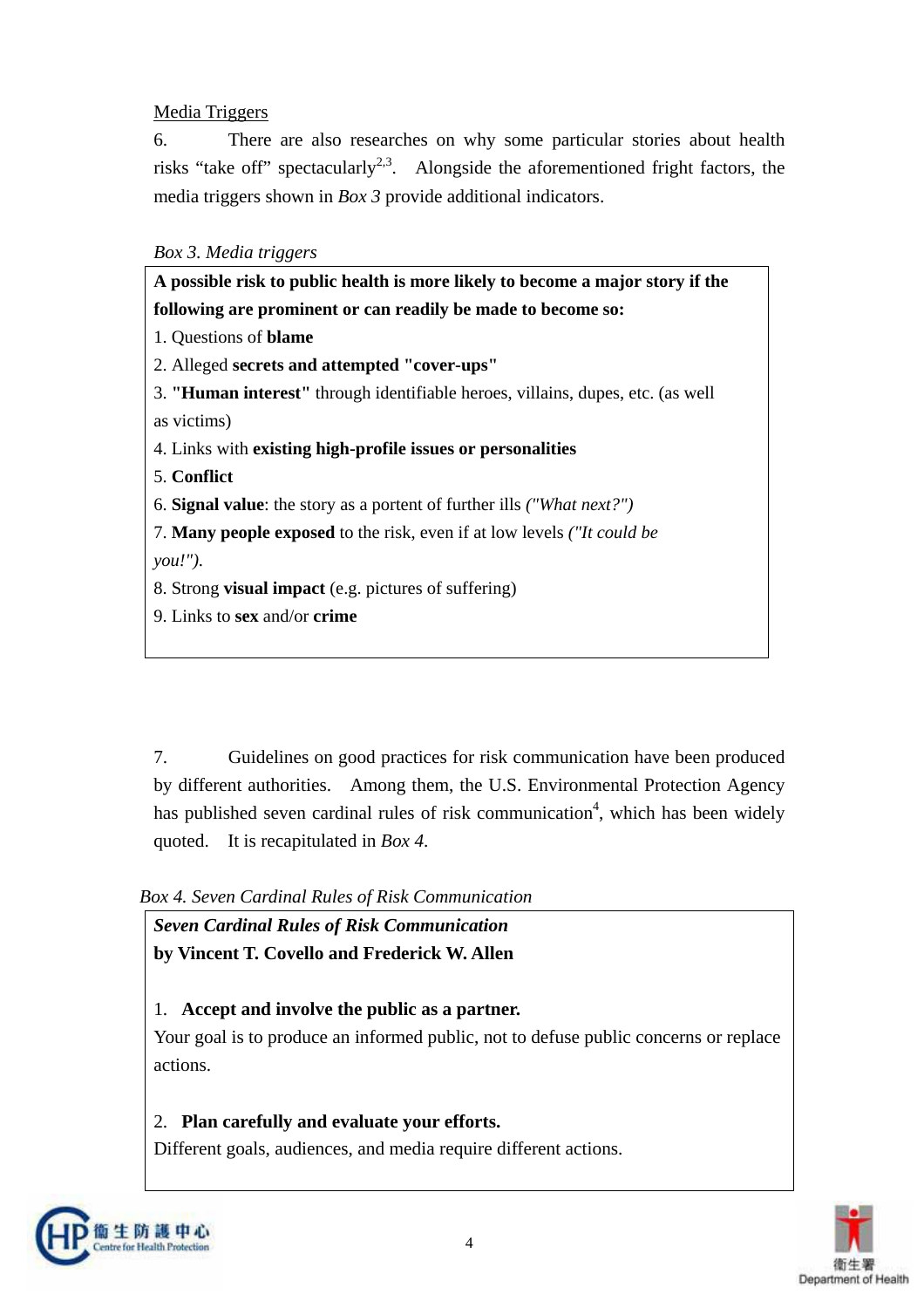## Media Triggers

6. There are also researches on why some particular stories about health risks "take off" spectacularly<sup>2,3</sup>. Alongside the aforementioned fright factors, the media triggers shown in *Box 3* provide additional indicators.

### *Box 3. Media triggers*

| A possible risk to public health is more likely to become a major story if the           |  |
|------------------------------------------------------------------------------------------|--|
| following are prominent or can readily be made to become so:                             |  |
| 1. Questions of <b>blame</b>                                                             |  |
| 2. Alleged secrets and attempted "cover-ups"                                             |  |
| 3. " <b>Human interest</b> " through identifiable heroes, villains, dupes, etc. (as well |  |
| as victims)                                                                              |  |
| 4. Links with existing high-profile issues or personalities                              |  |
| 5. Conflict                                                                              |  |
| 6. Signal value: the story as a portent of further ills <i>("What next?")</i>            |  |
| 7. Many people exposed to the risk, even if at low levels ("It could be                  |  |
| you.''.                                                                                  |  |
| 8. Strong <b>visual impact</b> (e.g. pictures of suffering)                              |  |
| 9. Links to sex and/or crime                                                             |  |
|                                                                                          |  |

7. Guidelines on good practices for risk communication have been produced by different authorities. Among them, the U.S. Environmental Protection Agency has published seven cardinal rules of risk communication<sup>4</sup>, which has been widely quoted. It is recapitulated in *Box 4*.

*Box 4. Seven Cardinal Rules of Risk Communication* 

*Seven Cardinal Rules of Risk Communication*  **by Vincent T. Covello and Frederick W. Allen**

## 1. **Accept and involve the public as a partner.**

Your goal is to produce an informed public, not to defuse public concerns or replace actions.

## 2. **Plan carefully and evaluate your efforts.**

Different goals, audiences, and media require different actions.



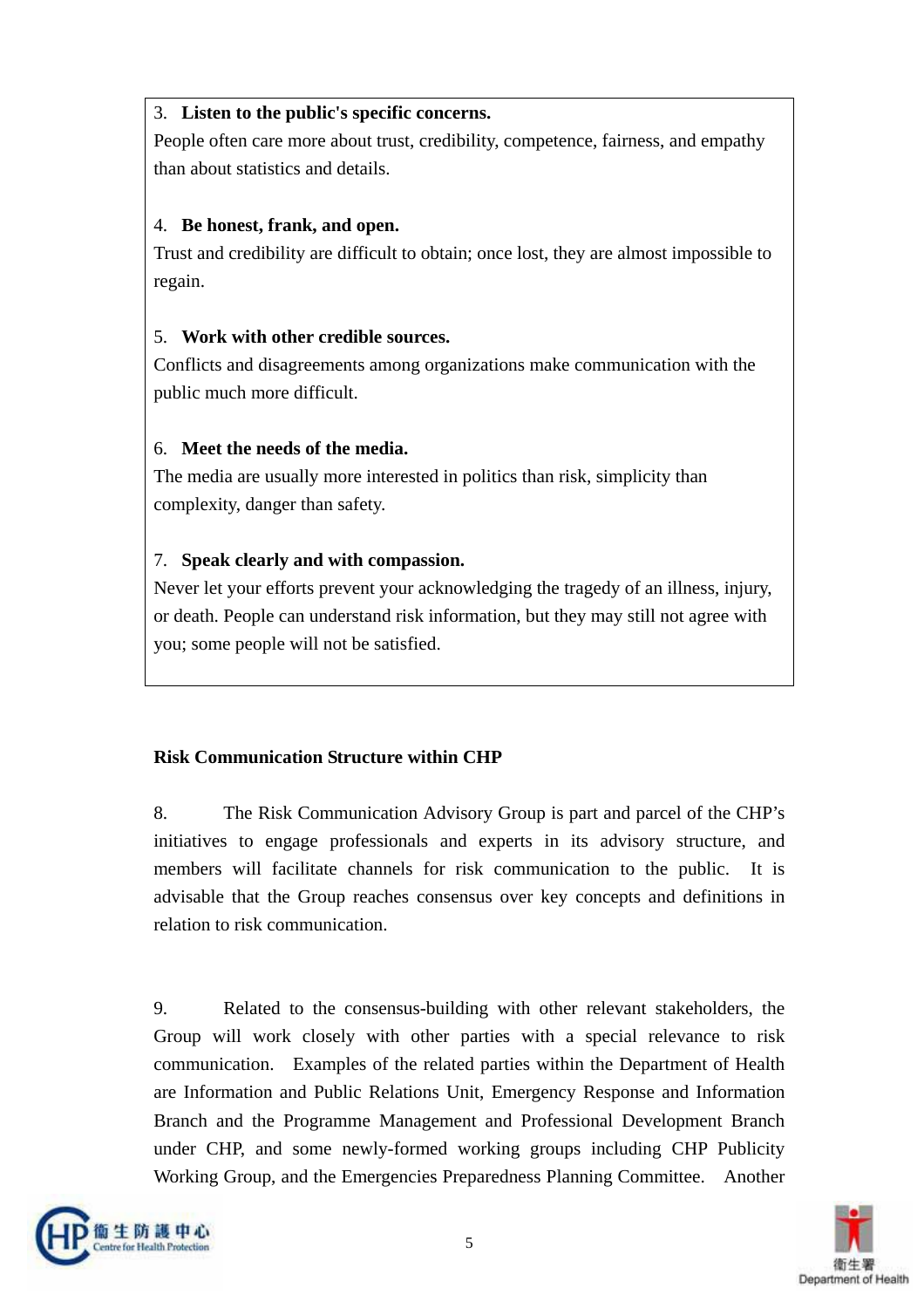## 3. **Listen to the public's specific concerns.**

People often care more about trust, credibility, competence, fairness, and empathy than about statistics and details.

## 4. **Be honest, frank, and open.**

Trust and credibility are difficult to obtain; once lost, they are almost impossible to regain.

## 5. **Work with other credible sources.**

Conflicts and disagreements among organizations make communication with the public much more difficult.

## 6. **Meet the needs of the media.**

The media are usually more interested in politics than risk, simplicity than complexity, danger than safety.

## 7. **Speak clearly and with compassion.**

Never let your efforts prevent your acknowledging the tragedy of an illness, injury, or death. People can understand risk information, but they may still not agree with you; some people will not be satisfied.

## **Risk Communication Structure within CHP**

8. The Risk Communication Advisory Group is part and parcel of the CHP's initiatives to engage professionals and experts in its advisory structure, and members will facilitate channels for risk communication to the public. It is advisable that the Group reaches consensus over key concepts and definitions in relation to risk communication.

9. Related to the consensus-building with other relevant stakeholders, the Group will work closely with other parties with a special relevance to risk communication. Examples of the related parties within the Department of Health are Information and Public Relations Unit, Emergency Response and Information Branch and the Programme Management and Professional Development Branch under CHP, and some newly-formed working groups including CHP Publicity Working Group, and the Emergencies Preparedness Planning Committee. Another